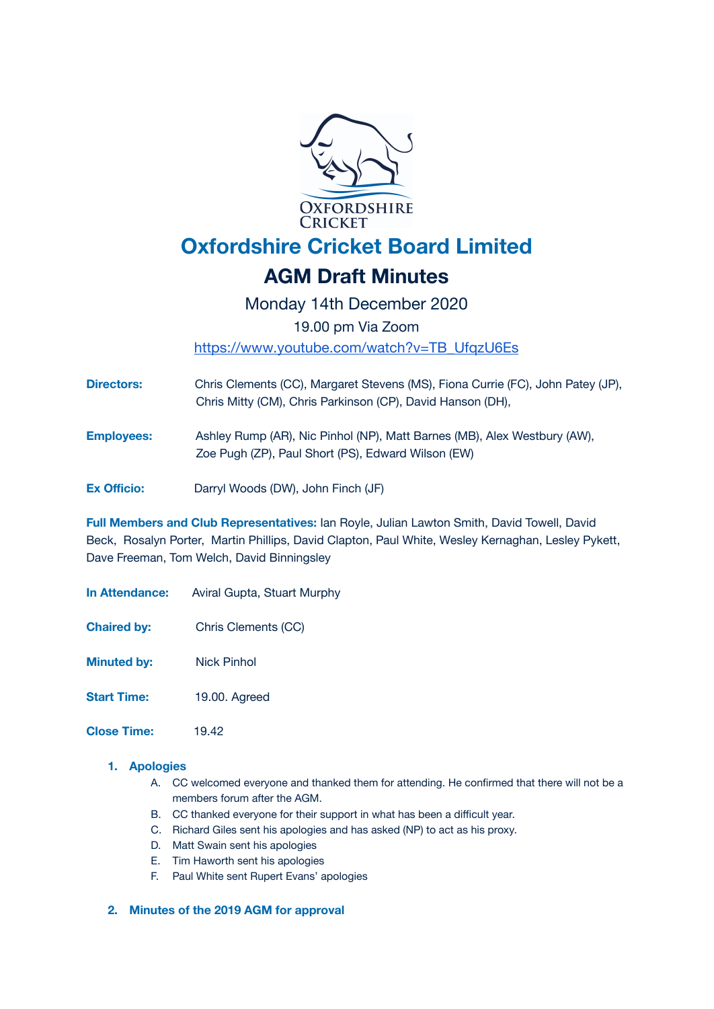

Monday 14th December 2020 19.00 pm Via Zoom [https://www.youtube.com/watch?v=TB\\_UfqzU6Es](https://www.youtube.com/watch?v=TB_UfqzU6Es)

**Directors:** Chris Clements (CC), Margaret Stevens (MS), Fiona Currie (FC), John Patey (JP), Chris Mitty (CM), Chris Parkinson (CP), David Hanson (DH),

**Employees:** Ashley Rump (AR), Nic Pinhol (NP), Matt Barnes (MB), Alex Westbury (AW), Zoe Pugh (ZP), Paul Short (PS), Edward Wilson (EW)

**Ex Officio:** Darryl Woods (DW), John Finch (JF)

**Full Members and Club Representatives:** Ian Royle, Julian Lawton Smith, David Towell, David Beck, Rosalyn Porter, Martin Phillips, David Clapton, Paul White, Wesley Kernaghan, Lesley Pykett, Dave Freeman, Tom Welch, David Binningsley

**In Attendance:** Aviral Gupta, Stuart Murphy

**Chaired by:** Chris Clements (CC)

**Minuted by:** Nick Pinhol

**Start Time:** 19.00. Agreed

**Close Time:** 19.42

#### **1. Apologies**

- A. CC welcomed everyone and thanked them for attending. He confirmed that there will not be a members forum after the AGM.
- B. CC thanked everyone for their support in what has been a difficult year.
- C. Richard Giles sent his apologies and has asked (NP) to act as his proxy.
- D. Matt Swain sent his apologies
- E. Tim Haworth sent his apologies
- F. Paul White sent Rupert Evans' apologies

#### **2. Minutes of the 2019 AGM for approval**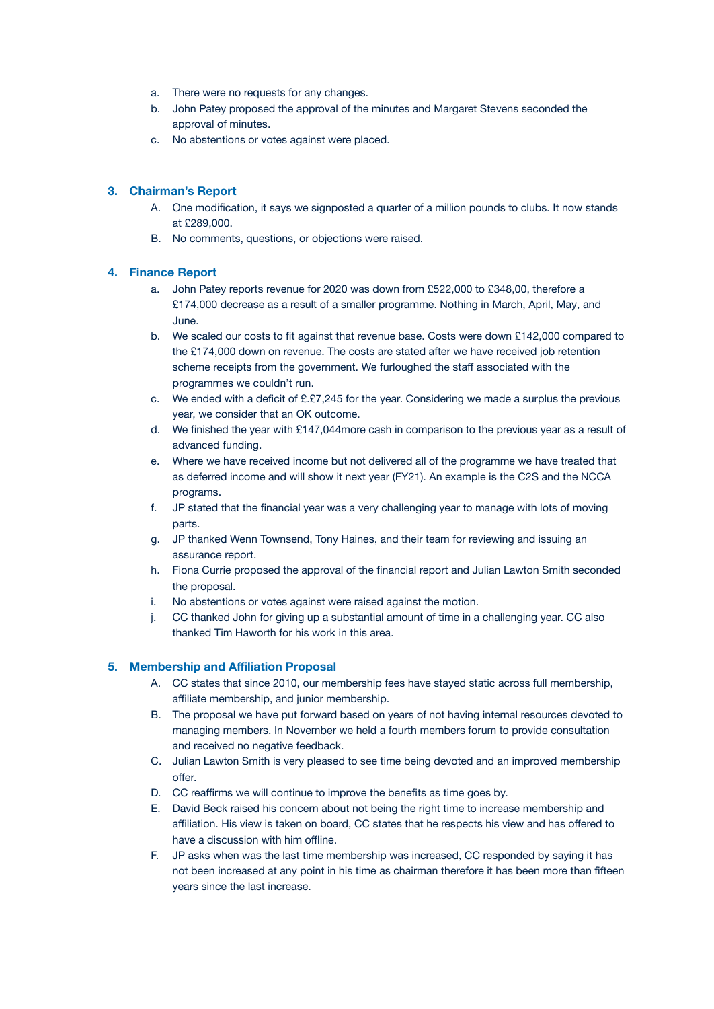- a. There were no requests for any changes.
- b. John Patey proposed the approval of the minutes and Margaret Stevens seconded the approval of minutes.
- c. No abstentions or votes against were placed.

### **3. Chairman's Report**

- A. One modification, it says we signposted a quarter of a million pounds to clubs. It now stands at £289,000.
- B. No comments, questions, or objections were raised.

#### **4. Finance Report**

- a. John Patey reports revenue for 2020 was down from £522,000 to £348,00, therefore a £174,000 decrease as a result of a smaller programme. Nothing in March, April, May, and June.
- b. We scaled our costs to fit against that revenue base. Costs were down £142,000 compared to the £174,000 down on revenue. The costs are stated after we have received job retention scheme receipts from the government. We furloughed the staff associated with the programmes we couldn't run.
- c. We ended with a deficit of £.£7,245 for the year. Considering we made a surplus the previous year, we consider that an OK outcome.
- d. We finished the year with £147,044more cash in comparison to the previous year as a result of advanced funding.
- e. Where we have received income but not delivered all of the programme we have treated that as deferred income and will show it next year (FY21). An example is the C2S and the NCCA programs.
- f. JP stated that the financial year was a very challenging year to manage with lots of moving parts.
- g. JP thanked Wenn Townsend, Tony Haines, and their team for reviewing and issuing an assurance report.
- h. Fiona Currie proposed the approval of the financial report and Julian Lawton Smith seconded the proposal.
- i. No abstentions or votes against were raised against the motion.
- j. CC thanked John for giving up a substantial amount of time in a challenging year. CC also thanked Tim Haworth for his work in this area.

#### **5. Membership and Affiliation Proposal**

- A. CC states that since 2010, our membership fees have stayed static across full membership, affiliate membership, and junior membership.
- B. The proposal we have put forward based on years of not having internal resources devoted to managing members. In November we held a fourth members forum to provide consultation and received no negative feedback.
- C. Julian Lawton Smith is very pleased to see time being devoted and an improved membership offer.
- D. CC reaffirms we will continue to improve the benefits as time goes by.
- E. David Beck raised his concern about not being the right time to increase membership and affiliation. His view is taken on board, CC states that he respects his view and has offered to have a discussion with him offline.
- F. JP asks when was the last time membership was increased, CC responded by saying it has not been increased at any point in his time as chairman therefore it has been more than fifteen years since the last increase.